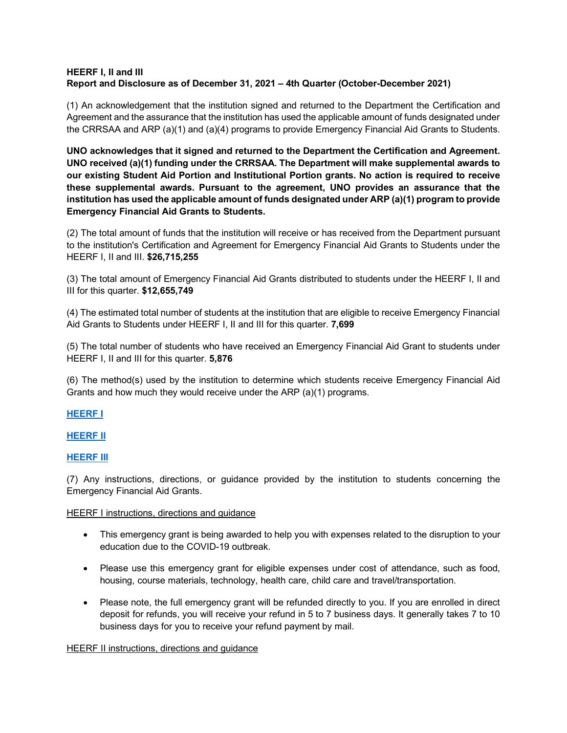## **HEERF I, II and III Report and Disclosure as of December 31, 2021 – 4th Quarter (October-December 2021)**

(1) An acknowledgement that the institution signed and returned to the Department the Certification and Agreement and the assurance that the institution has used the applicable amount of funds designated under the CRRSAA and ARP (a)(1) and (a)(4) programs to provide Emergency Financial Aid Grants to Students.

**UNO acknowledges that it signed and returned to the Department the Certification and Agreement. UNO received (a)(1) funding under the CRRSAA. The Department will make supplemental awards to our existing Student Aid Portion and Institutional Portion grants. No action is required to receive these supplemental awards. Pursuant to the agreement, UNO provides an assurance that the institution has used the applicable amount of funds designated under ARP (a)(1) program to provide Emergency Financial Aid Grants to Students.**

(2) The total amount of funds that the institution will receive or has received from the Department pursuant to the institution's Certification and Agreement for Emergency Financial Aid Grants to Students under the HEERF I, II and III. **\$26,715,255**

(3) The total amount of Emergency Financial Aid Grants distributed to students under the HEERF I, II and III for this quarter. **\$12,655,749**

(4) The estimated total number of students at the institution that are eligible to receive Emergency Financial Aid Grants to Students under HEERF I, II and III for this quarter. **7,699**

(5) The total number of students who have received an Emergency Financial Aid Grant to students under HEERF I, II and III for this quarter. **5,876**

(6) The method(s) used by the institution to determine which students receive Emergency Financial Aid Grants and how much they would receive under the ARP (a)(1) programs.

**[HEERF I](https://www.unomaha.edu/admissions/financial-support-and-scholarships/tools-and-resources/_docs/cares-act-heerf-student-emergency-grant-distribution.pdf)**

**[HEERF II](https://www.unomaha.edu/admissions/financial-support-and-scholarships/_fss-files/docs/unos-crrsaa-heerf-ii-student-emergency-grant-distribution.pdf)**

**[HEERF III](https://www.unomaha.edu/admissions/financial-support-and-scholarships/_fss-files/docs/heerf-iii/uno-heerf-iii-student-emergency-grant-distribution.pdf)**

(7) Any instructions, directions, or guidance provided by the institution to students concerning the Emergency Financial Aid Grants.

## HEERF I instructions, directions and guidance

- This emergency grant is being awarded to help you with expenses related to the disruption to your education due to the COVID-19 outbreak.
- Please use this emergency grant for eligible expenses under cost of attendance, such as food, housing, course materials, technology, health care, child care and travel/transportation.
- Please note, the full emergency grant will be refunded directly to you. If you are enrolled in direct deposit for refunds, you will receive your refund in 5 to 7 business days. It generally takes 7 to 10 business days for you to receive your refund payment by mail.

## HEERF II instructions, directions and guidance